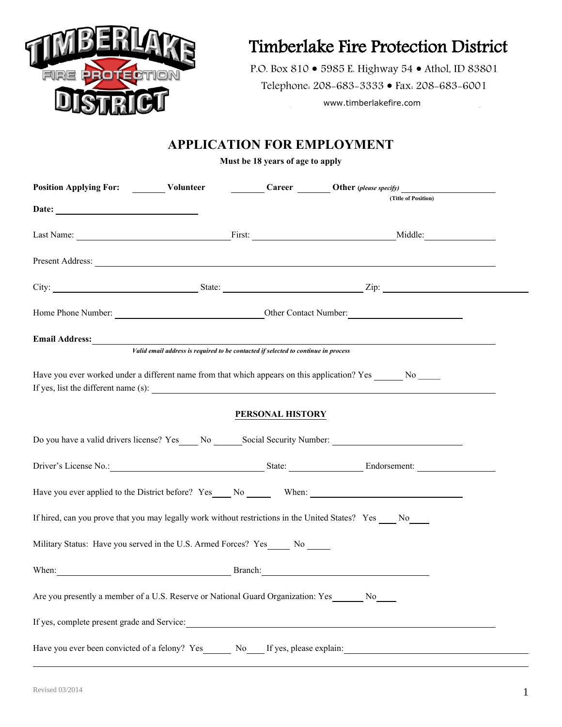

# Timberlake Fire Protection District

P.O. Box 810 · 5985 E. Highway 54 · Athol, ID 83801 Telephone: 208-683-3333 • Fax: 208-683-6001

www.timberlakefire.com

# **APPLICATION FOR EMPLOYMENT**

**Must be 18 years of age to apply**

| Position Applying For: Volunteer Career Career Other (please specify)<br>Career Other (please specify)<br>(Title of Position)                                                                                                        |  |                  |  |  |  |
|--------------------------------------------------------------------------------------------------------------------------------------------------------------------------------------------------------------------------------------|--|------------------|--|--|--|
| Date:                                                                                                                                                                                                                                |  |                  |  |  |  |
| Last Name: Middle: Middle: Middle: Middle: Middle: Middle: Middle: Middle: Middle: Middle: Middle: Middle: Middle: Middle: Middle: Middle: Middle: Middle: Middle: Middle: Middle: Middle: Middle: Middle: Middle: Middle: Mid       |  |                  |  |  |  |
| Present Address: <u>The Community of the Community of the Community of the Community of the Community of the Community of the Community of the Community of the Community of the Community of the Community of the Community of </u> |  |                  |  |  |  |
| City: <u>City:</u> State: <u>City: Zip:</u> Zip:                                                                                                                                                                                     |  |                  |  |  |  |
| Home Phone Number: <u>Contact Number:</u> Contact Number: Contact Number:                                                                                                                                                            |  |                  |  |  |  |
| Email Address:<br>Valid email address is required to be contacted if selected to continue in process                                                                                                                                 |  |                  |  |  |  |
|                                                                                                                                                                                                                                      |  |                  |  |  |  |
| Have you ever worked under a different name from that which appears on this application? Yes No<br>If yes, list the different name (s): $\frac{1}{\sqrt{1-\frac{1}{n}}}\left\{ x\right\}$                                            |  |                  |  |  |  |
|                                                                                                                                                                                                                                      |  | PERSONAL HISTORY |  |  |  |
| Do you have a valid drivers license? Yes __ No _______Social Security Number: _____________________                                                                                                                                  |  |                  |  |  |  |
| Driver's License No.: State: Endorsement: Endorsement:                                                                                                                                                                               |  |                  |  |  |  |
|                                                                                                                                                                                                                                      |  |                  |  |  |  |
| If hired, can you prove that you may legally work without restrictions in the United States? Yes ____ No____                                                                                                                         |  |                  |  |  |  |
| Military Status: Have you served in the U.S. Armed Forces? Yes_____ No _____                                                                                                                                                         |  |                  |  |  |  |
| When: Branch: Branch:                                                                                                                                                                                                                |  |                  |  |  |  |
| Are you presently a member of a U.S. Reserve or National Guard Organization: Yes No                                                                                                                                                  |  |                  |  |  |  |
| If yes, complete present grade and Service:                                                                                                                                                                                          |  |                  |  |  |  |
| Have you ever been convicted of a felony? Yes No If yes, please explain:                                                                                                                                                             |  |                  |  |  |  |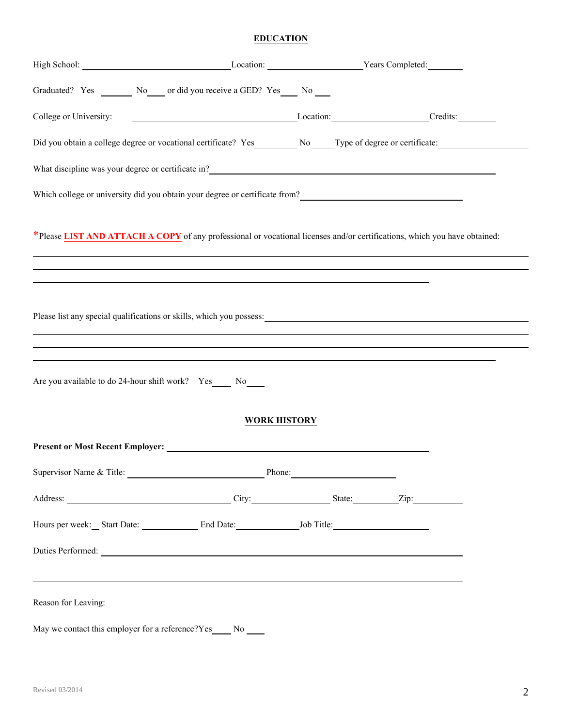### **EDUCATION**

|                        | High School: Location: Location: Vears Completed: Vears Completed:                                                                                                                                            |        |  |
|------------------------|---------------------------------------------------------------------------------------------------------------------------------------------------------------------------------------------------------------|--------|--|
|                        | Graduated? Yes _________ No _____ or did you receive a GED? Yes _____ No _____                                                                                                                                |        |  |
| College or University: | Exaction: Credits: Credits:                                                                                                                                                                                   |        |  |
|                        | Did you obtain a college degree or vocational certificate? Yes__________ No_____Type of degree or certificate:                                                                                                |        |  |
|                        | What discipline was your degree or certificate in?<br><u>Letting</u>                                                                                                                                          |        |  |
|                        | Which college or university did you obtain your degree or certificate from?                                                                                                                                   |        |  |
|                        | *Please LIST AND ATTACH A COPY of any professional or vocational licenses and/or certifications, which you have obtained:<br>,我们也不会有什么。""我们的人,我们也不会有什么?""我们的人,我们也不会有什么?""我们的人,我们也不会有什么?""我们的人,我们也不会有什么?""我们的人 |        |  |
|                        |                                                                                                                                                                                                               |        |  |
|                        | Are you available to do 24-hour shift work? Yes____ No____                                                                                                                                                    |        |  |
|                        | <b>WORK HISTORY</b>                                                                                                                                                                                           |        |  |
|                        |                                                                                                                                                                                                               |        |  |
|                        | Supervisor Name & Title:                                                                                                                                                                                      | Phone: |  |
|                        | Address: <u>City: City:</u> State: Zip: Zip:                                                                                                                                                                  |        |  |
|                        | Hours per week: Start Date: End Date: Job Title:                                                                                                                                                              |        |  |
|                        | Duties Performed:                                                                                                                                                                                             |        |  |
|                        | ,我们也不会有什么。""我们的人,我们也不会有什么?""我们的人,我们也不会有什么?""我们的人,我们也不会有什么?""我们的人,我们也不会有什么?""我们的人<br>Reason for Leaving:                                                                                                       |        |  |
|                        | May we contact this employer for a reference?Yes_____ No _____                                                                                                                                                |        |  |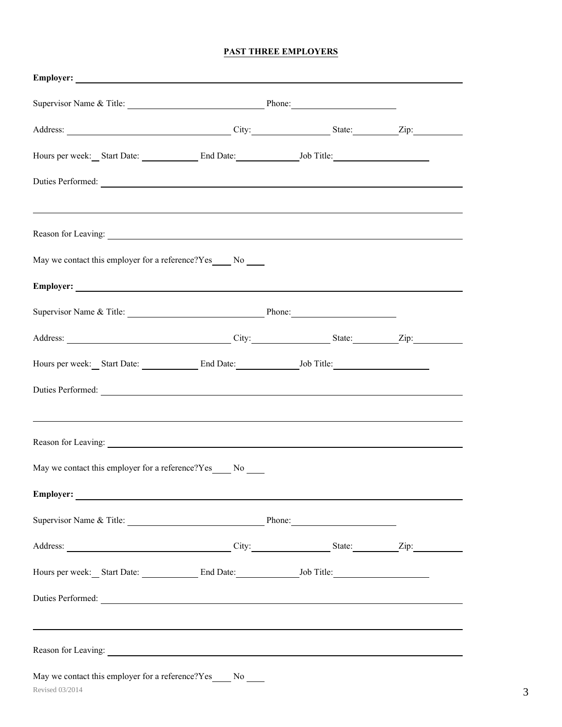#### **PAST THREE EMPLOYERS**

| Supervisor Name & Title: Phone: Phone:                                                                                                                                                                                         |  |  |
|--------------------------------------------------------------------------------------------------------------------------------------------------------------------------------------------------------------------------------|--|--|
|                                                                                                                                                                                                                                |  |  |
| Hours per week: Start Date: End Date: Job Title:                                                                                                                                                                               |  |  |
| Duties Performed:                                                                                                                                                                                                              |  |  |
|                                                                                                                                                                                                                                |  |  |
| Reason for Leaving: New York: New York: New York: New York: New York: New York: New York: New York: New York: New York: New York: New York: New York: New York: New York: New York: New York: New York: New York: New York: Ne |  |  |
| May we contact this employer for a reference?Yes No                                                                                                                                                                            |  |  |
| Employer:                                                                                                                                                                                                                      |  |  |
| Supervisor Name & Title: <u>New York: Phone:</u> Phone: Phone: 2008.                                                                                                                                                           |  |  |
| Address: <u>City:</u> City: State: Zip: Zip:                                                                                                                                                                                   |  |  |
| Hours per week: Start Date: End Date: Job Title:                                                                                                                                                                               |  |  |
| Duties Performed:                                                                                                                                                                                                              |  |  |
|                                                                                                                                                                                                                                |  |  |
| Reason for Leaving:                                                                                                                                                                                                            |  |  |
| May we contact this employer for a reference?Yes____ No ____                                                                                                                                                                   |  |  |
| Employer:                                                                                                                                                                                                                      |  |  |
| Supervisor Name & Title: Phone: Phone:                                                                                                                                                                                         |  |  |
|                                                                                                                                                                                                                                |  |  |
| Hours per week: Start Date: End Date: Job Title:                                                                                                                                                                               |  |  |
| Duties Performed:                                                                                                                                                                                                              |  |  |
|                                                                                                                                                                                                                                |  |  |
| Reason for Leaving:                                                                                                                                                                                                            |  |  |
| May we contact this employer for a reference?Yes_____ No _____                                                                                                                                                                 |  |  |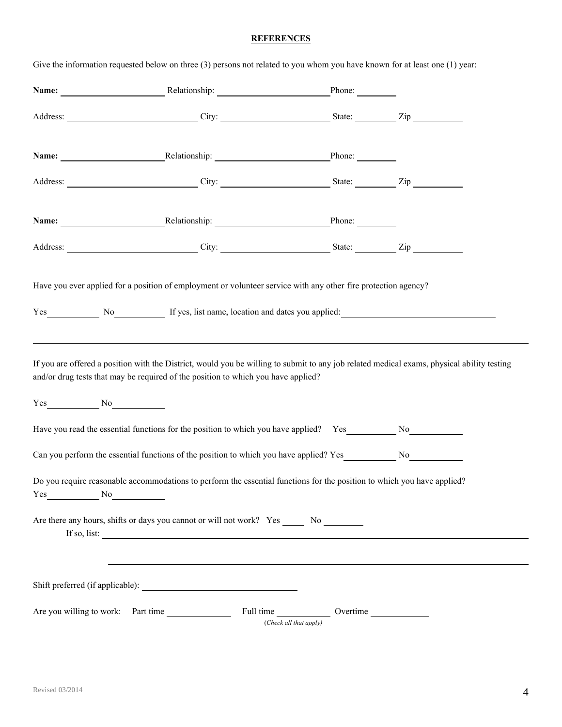## **REFERENCES**

| Address: City: City: State: Zip<br>Name: Relationship: Phone: Phone:<br>Address: City: City: City: State: Zip<br>Name: Relationship: Phone: Phone:<br>Address: City: City: State: Zip<br>Have you ever applied for a position of employment or volunteer service with any other fire protection agency?<br>Yes No No If yes, list name, location and dates you applied:<br>If you are offered a position with the District, would you be willing to submit to any job related medical exams, physical ability testing<br>and/or drug tests that may be required of the position to which you have applied?<br>$Yes$ No $No$<br>Have you read the essential functions for the position to which you have applied? Yes No No<br>Do you require reasonable accommodations to perform the essential functions for the position to which you have applied?<br>$Yes$ No $No$ |  |
|------------------------------------------------------------------------------------------------------------------------------------------------------------------------------------------------------------------------------------------------------------------------------------------------------------------------------------------------------------------------------------------------------------------------------------------------------------------------------------------------------------------------------------------------------------------------------------------------------------------------------------------------------------------------------------------------------------------------------------------------------------------------------------------------------------------------------------------------------------------------|--|
|                                                                                                                                                                                                                                                                                                                                                                                                                                                                                                                                                                                                                                                                                                                                                                                                                                                                        |  |
|                                                                                                                                                                                                                                                                                                                                                                                                                                                                                                                                                                                                                                                                                                                                                                                                                                                                        |  |
|                                                                                                                                                                                                                                                                                                                                                                                                                                                                                                                                                                                                                                                                                                                                                                                                                                                                        |  |
|                                                                                                                                                                                                                                                                                                                                                                                                                                                                                                                                                                                                                                                                                                                                                                                                                                                                        |  |
|                                                                                                                                                                                                                                                                                                                                                                                                                                                                                                                                                                                                                                                                                                                                                                                                                                                                        |  |
|                                                                                                                                                                                                                                                                                                                                                                                                                                                                                                                                                                                                                                                                                                                                                                                                                                                                        |  |
|                                                                                                                                                                                                                                                                                                                                                                                                                                                                                                                                                                                                                                                                                                                                                                                                                                                                        |  |
|                                                                                                                                                                                                                                                                                                                                                                                                                                                                                                                                                                                                                                                                                                                                                                                                                                                                        |  |
|                                                                                                                                                                                                                                                                                                                                                                                                                                                                                                                                                                                                                                                                                                                                                                                                                                                                        |  |
| If so, list: $\qquad \qquad$                                                                                                                                                                                                                                                                                                                                                                                                                                                                                                                                                                                                                                                                                                                                                                                                                                           |  |
|                                                                                                                                                                                                                                                                                                                                                                                                                                                                                                                                                                                                                                                                                                                                                                                                                                                                        |  |
|                                                                                                                                                                                                                                                                                                                                                                                                                                                                                                                                                                                                                                                                                                                                                                                                                                                                        |  |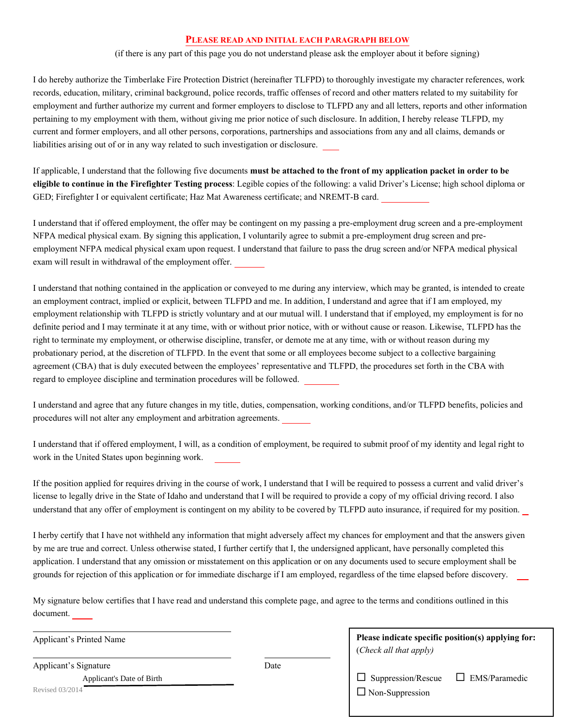#### **PLEASE READ AND INITIAL EACH PARAGRAPH BELOW**

(if there is any part of this page you do not understand please ask the employer about it before signing)

I do hereby authorize the Timberlake Fire Protection District (hereinafter TLFPD) to thoroughly investigate my character references, work records, education, military, criminal background, police records, traffic offenses of record and other matters related to my suitability for employment and further authorize my current and former employers to disclose to TLFPD any and all letters, reports and other information pertaining to my employment with them, without giving me prior notice of such disclosure. In addition, I hereby release TLFPD, my current and former employers, and all other persons, corporations, partnerships and associations from any and all claims, demands or liabilities arising out of or in any way related to such investigation or disclosure.

If applicable, I understand that the following five documents **must be attached to the front of my application packet in order to be eligible to continue in the Firefighter Testing process**: Legible copies of the following: a valid Driver's License; high school diploma or GED; Firefighter I or equivalent certificate; Haz Mat Awareness certificate; and NREMT-B card.

I understand that if offered employment, the offer may be contingent on my passing a pre-employment drug screen and a pre-employment NFPA medical physical exam. By signing this application, I voluntarily agree to submit a pre-employment drug screen and preemployment NFPA medical physical exam upon request. I understand that failure to pass the drug screen and/or NFPA medical physical exam will result in withdrawal of the employment offer.

I understand that nothing contained in the application or conveyed to me during any interview, which may be granted, is intended to create an employment contract, implied or explicit, between TLFPD and me. In addition, I understand and agree that if I am employed, my employment relationship with TLFPD is strictly voluntary and at our mutual will. I understand that if employed, my employment is for no definite period and I may terminate it at any time, with or without prior notice, with or without cause or reason. Likewise, TLFPD has the right to terminate my employment, or otherwise discipline, transfer, or demote me at any time, with or without reason during my probationary period, at the discretion of TLFPD. In the event that some or all employees become subject to a collective bargaining agreement (CBA) that is duly executed between the employees' representative and TLFPD, the procedures set forth in the CBA with regard to employee discipline and termination procedures will be followed.

I understand and agree that any future changes in my title, duties, compensation, working conditions, and/or TLFPD benefits, policies and procedures will not alter any employment and arbitration agreements.

I understand that if offered employment, I will, as a condition of employment, be required to submit proof of my identity and legal right to work in the United States upon beginning work.

If the position applied for requires driving in the course of work, I understand that I will be required to possess a current and valid driver's license to legally drive in the State of Idaho and understand that I will be required to provide a copy of my official driving record. I also understand that any offer of employment is contingent on my ability to be covered by TLFPD auto insurance, if required for my position.

I herby certify that I have not withheld any information that might adversely affect my chances for employment and that the answers given by me are true and correct. Unless otherwise stated, I further certify that I, the undersigned applicant, have personally completed this application. I understand that any omission or misstatement on this application or on any documents used to secure employment shall be grounds for rejection of this application or for immediate discharge if I am employed, regardless of the time elapsed before discovery.

My signature below certifies that I have read and understand this complete page, and agree to the terms and conditions outlined in this document.

Applicant's Printed Name

Applicant's Signature Date

**Please indicate specific position(s) applying for:**  (*Check all that apply)*

Applicant's Date of Birth

 $\Box$  Non-Suppression  $\Box$  Non-Suppression  $\square$  Suppression/Rescue  $\square$  EMS/Paramedic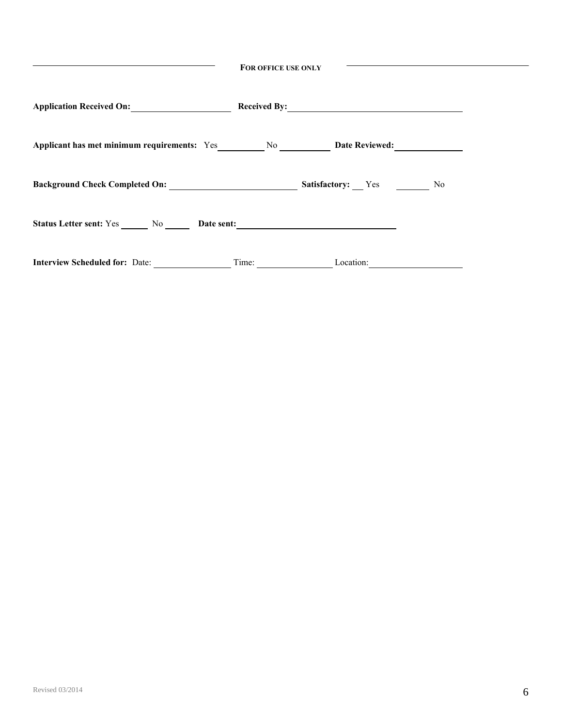| FOR OFFICE USE ONLY                                              |       |                          |     |  |  |
|------------------------------------------------------------------|-------|--------------------------|-----|--|--|
| Application Received On:                                         |       |                          |     |  |  |
| Applicant has met minimum requirements: Yes No No Date Reviewed: |       |                          |     |  |  |
|                                                                  |       | <b>Satisfactory:</b> Yes | No. |  |  |
| Status Letter sent: Yes No Date sent: No Date Sent:              |       |                          |     |  |  |
| <b>Interview Scheduled for: Date:</b>                            | Time: | Location:                |     |  |  |